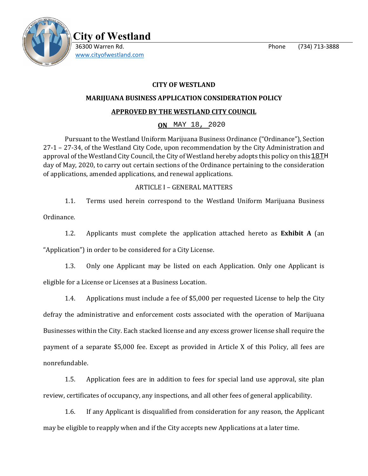

 **City of Westland**  36300 Warren Rd. Phone (734) 713-3888 [www.cityofwestland.com](http://www.cityofwestland.com/)

# **CITY OF WESTLAND**

## **MARIJUANA BUSINESS APPLICATION CONSIDERATION POLICY**

# **APPROVED BY THE WESTLAND CITY COUNCIL**

**ON \_\_\_\_\_\_\_\_\_\_\_\_\_\_\_\_** MAY 18, 2020

Pursuant to the Westland Uniform Marijuana Business Ordinance ("Ordinance"), Section 27-1 – 27-34, of the Westland City Code, upon recommendation by the City Administration and approval of the Westland City Council, the City of Westland hereby adopts this policy on this  $\underline{18TH}$ day of May, 2020, to carry out certain sections of the Ordinance pertaining to the consideration of applications, amended applications, and renewal applications.

## ARTICLE I – GENERAL MATTERS

1.1. Terms used herein correspond to the Westland Uniform Marijuana Business Ordinance.

1.2. Applicants must complete the application attached hereto as **Exhibit A** (an "Application") in order to be considered for a City License.

1.3. Only one Applicant may be listed on each Application. Only one Applicant is eligible for a License or Licenses at a Business Location.

1.4. Applications must include a fee of \$5,000 per requested License to help the City defray the administrative and enforcement costs associated with the operation of Marijuana Businesses within the City. Each stacked license and any excess grower license shall require the payment of a separate \$5,000 fee. Except as provided in Article X of this Policy, all fees are nonrefundable.

1.5. Application fees are in addition to fees for special land use approval, site plan review, certificates of occupancy, any inspections, and all other fees of general applicability.

1.6. If any Applicant is disqualified from consideration for any reason, the Applicant may be eligible to reapply when and if the City accepts new Applications at a later time.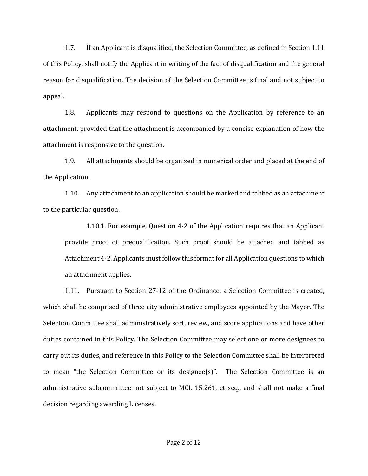1.7. If an Applicant is disqualified, the Selection Committee, as defined in Section 1.11 of this Policy, shall notify the Applicant in writing of the fact of disqualification and the general reason for disqualification. The decision of the Selection Committee is final and not subject to appeal.

1.8. Applicants may respond to questions on the Application by reference to an attachment, provided that the attachment is accompanied by a concise explanation of how the attachment is responsive to the question.

1.9. All attachments should be organized in numerical order and placed at the end of the Application.

1.10. Any attachment to an application should be marked and tabbed as an attachment to the particular question.

1.10.1. For example, Question 4-2 of the Application requires that an Applicant provide proof of prequalification. Such proof should be attached and tabbed as Attachment 4-2. Applicants must follow this format for all Application questions to which an attachment applies.

1.11. Pursuant to Section 27-12 of the Ordinance, a Selection Committee is created, which shall be comprised of three city administrative employees appointed by the Mayor. The Selection Committee shall administratively sort, review, and score applications and have other duties contained in this Policy. The Selection Committee may select one or more designees to carry out its duties, and reference in this Policy to the Selection Committee shall be interpreted to mean "the Selection Committee or its designee(s)". The Selection Committee is an administrative subcommittee not subject to MCL 15.261, et seq., and shall not make a final decision regarding awarding Licenses.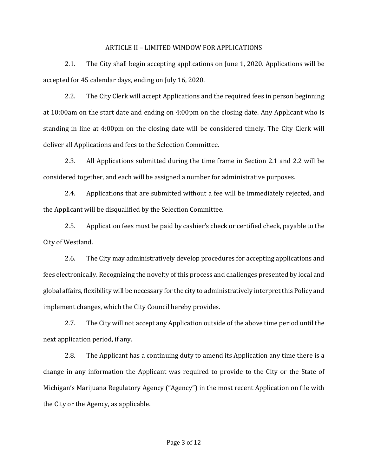#### ARTICLE II – LIMITED WINDOW FOR APPLICATIONS

2.1. The City shall begin accepting applications on June 1, 2020. Applications will be accepted for 45 calendar days, ending on July 16, 2020.

2.2. The City Clerk will accept Applications and the required fees in person beginning at 10:00am on the start date and ending on 4:00pm on the closing date. Any Applicant who is standing in line at 4:00pm on the closing date will be considered timely. The City Clerk will deliver all Applications and fees to the Selection Committee.

2.3. All Applications submitted during the time frame in Section 2.1 and 2.2 will be considered together, and each will be assigned a number for administrative purposes.

2.4. Applications that are submitted without a fee will be immediately rejected, and the Applicant will be disqualified by the Selection Committee.

2.5. Application fees must be paid by cashier's check or certified check, payable to the City of Westland.

2.6. The City may administratively develop procedures for accepting applications and fees electronically. Recognizing the novelty of this process and challenges presented by local and global affairs, flexibility will be necessary for the city to administratively interpret this Policy and implement changes, which the City Council hereby provides.

2.7. The City will not accept any Application outside of the above time period until the next application period, if any.

2.8. The Applicant has a continuing duty to amend its Application any time there is a change in any information the Applicant was required to provide to the City or the State of Michigan's Marijuana Regulatory Agency ("Agency") in the most recent Application on file with the City or the Agency, as applicable.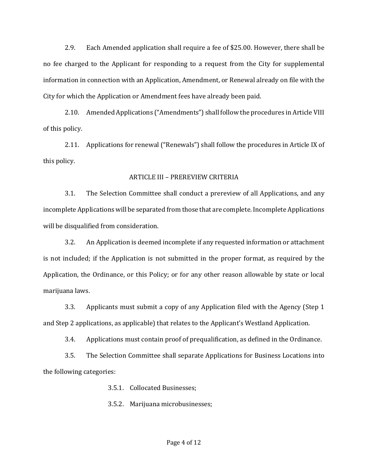2.9. Each Amended application shall require a fee of \$25.00. However, there shall be no fee charged to the Applicant for responding to a request from the City for supplemental information in connection with an Application, Amendment, or Renewal already on file with the City for which the Application or Amendment fees have already been paid.

2.10. Amended Applications ("Amendments") shall follow the procedures in Article VIII of this policy.

2.11. Applications for renewal ("Renewals") shall follow the procedures in Article IX of this policy.

### ARTICLE III – PREREVIEW CRITERIA

3.1. The Selection Committee shall conduct a prereview of all Applications, and any incomplete Applications will be separated from those that are complete. Incomplete Applications will be disqualified from consideration.

3.2. An Application is deemed incomplete if any requested information or attachment is not included; if the Application is not submitted in the proper format, as required by the Application, the Ordinance, or this Policy; or for any other reason allowable by state or local marijuana laws.

3.3. Applicants must submit a copy of any Application filed with the Agency (Step 1 and Step 2 applications, as applicable) that relates to the Applicant's Westland Application.

3.4. Applications must contain proof of prequalification, as defined in the Ordinance.

3.5. The Selection Committee shall separate Applications for Business Locations into the following categories:

3.5.1. Collocated Businesses;

3.5.2. Marijuana microbusinesses;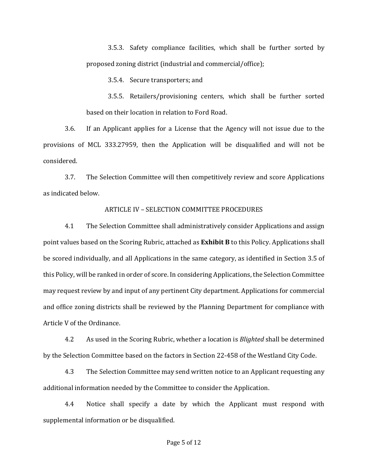3.5.3. Safety compliance facilities, which shall be further sorted by proposed zoning district (industrial and commercial/office);

3.5.4. Secure transporters; and

3.5.5. Retailers/provisioning centers, which shall be further sorted based on their location in relation to Ford Road.

3.6. If an Applicant applies for a License that the Agency will not issue due to the provisions of MCL 333.27959, then the Application will be disqualified and will not be considered.

3.7. The Selection Committee will then competitively review and score Applications as indicated below.

## ARTICLE IV – SELECTION COMMITTEE PROCEDURES

4.1 The Selection Committee shall administratively consider Applications and assign point values based on the Scoring Rubric, attached as **Exhibit B** to this Policy. Applications shall be scored individually, and all Applications in the same category, as identified in Section 3.5 of this Policy, will be ranked in order of score. In considering Applications, the Selection Committee may request review by and input of any pertinent City department. Applications for commercial and office zoning districts shall be reviewed by the Planning Department for compliance with Article V of the Ordinance.

4.2 As used in the Scoring Rubric, whether a location is *Blighted* shall be determined by the Selection Committee based on the factors in Section 22-458 of the Westland City Code.

4.3 The Selection Committee may send written notice to an Applicant requesting any additional information needed by the Committee to consider the Application.

4.4 Notice shall specify a date by which the Applicant must respond with supplemental information or be disqualified.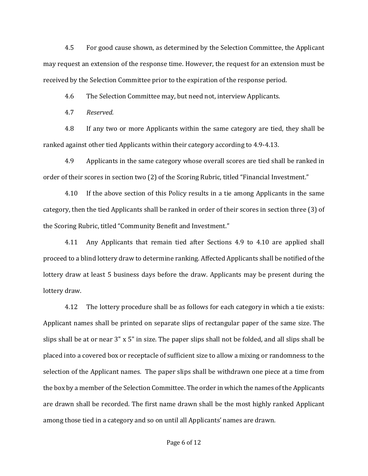4.5 For good cause shown, as determined by the Selection Committee, the Applicant may request an extension of the response time. However, the request for an extension must be received by the Selection Committee prior to the expiration of the response period.

4.6 The Selection Committee may, but need not, interview Applicants.

4.7 *Reserved.*

4.8 If any two or more Applicants within the same category are tied, they shall be ranked against other tied Applicants within their category according to 4.9-4.13.

4.9 Applicants in the same category whose overall scores are tied shall be ranked in order of their scores in section two (2) of the Scoring Rubric, titled "Financial Investment."

4.10 If the above section of this Policy results in a tie among Applicants in the same category, then the tied Applicants shall be ranked in order of their scores in section three (3) of the Scoring Rubric, titled "Community Benefit and Investment."

4.11 Any Applicants that remain tied after Sections 4.9 to 4.10 are applied shall proceed to a blind lottery draw to determine ranking. Affected Applicants shall be notified of the lottery draw at least 5 business days before the draw. Applicants may be present during the lottery draw.

4.12 The lottery procedure shall be as follows for each category in which a tie exists: Applicant names shall be printed on separate slips of rectangular paper of the same size. The slips shall be at or near 3" x 5" in size. The paper slips shall not be folded, and all slips shall be placed into a covered box or receptacle of sufficient size to allow a mixing or randomness to the selection of the Applicant names. The paper slips shall be withdrawn one piece at a time from the box by a member of the Selection Committee. The order in which the names of the Applicants are drawn shall be recorded. The first name drawn shall be the most highly ranked Applicant among those tied in a category and so on until all Applicants' names are drawn.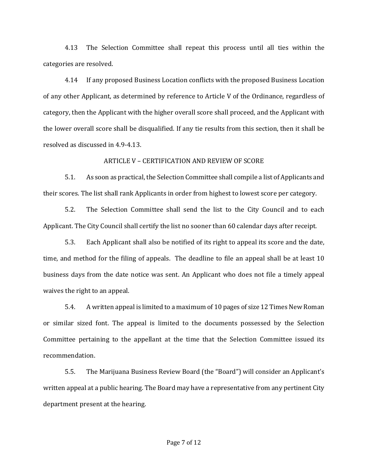4.13 The Selection Committee shall repeat this process until all ties within the categories are resolved.

4.14 If any proposed Business Location conflicts with the proposed Business Location of any other Applicant, as determined by reference to Article V of the Ordinance, regardless of category, then the Applicant with the higher overall score shall proceed, and the Applicant with the lower overall score shall be disqualified. If any tie results from this section, then it shall be resolved as discussed in 4.9-4.13.

#### ARTICLE V – CERTIFICATION AND REVIEW OF SCORE

5.1. As soon as practical, the Selection Committee shall compile a list of Applicants and their scores. The list shall rank Applicants in order from highest to lowest score per category.

5.2. The Selection Committee shall send the list to the City Council and to each Applicant. The City Council shall certify the list no sooner than 60 calendar days after receipt.

5.3. Each Applicant shall also be notified of its right to appeal its score and the date, time, and method for the filing of appeals. The deadline to file an appeal shall be at least 10 business days from the date notice was sent. An Applicant who does not file a timely appeal waives the right to an appeal.

5.4. A written appeal is limited to a maximum of 10 pages of size 12 Times New Roman or similar sized font. The appeal is limited to the documents possessed by the Selection Committee pertaining to the appellant at the time that the Selection Committee issued its recommendation.

5.5. The Marijuana Business Review Board (the "Board") will consider an Applicant's written appeal at a public hearing. The Board may have a representative from any pertinent City department present at the hearing.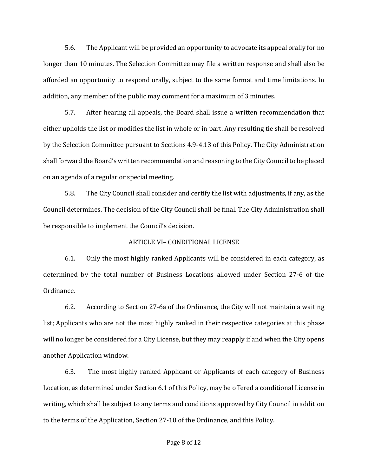5.6. The Applicant will be provided an opportunity to advocate its appeal orally for no longer than 10 minutes. The Selection Committee may file a written response and shall also be afforded an opportunity to respond orally, subject to the same format and time limitations. In addition, any member of the public may comment for a maximum of 3 minutes.

5.7. After hearing all appeals, the Board shall issue a written recommendation that either upholds the list or modifies the list in whole or in part. Any resulting tie shall be resolved by the Selection Committee pursuant to Sections 4.9-4.13 of this Policy. The City Administration shall forward the Board's written recommendation and reasoning to the City Council to be placed on an agenda of a regular or special meeting.

5.8. The City Council shall consider and certify the list with adjustments, if any, as the Council determines. The decision of the City Council shall be final. The City Administration shall be responsible to implement the Council's decision.

## ARTICLE VI– CONDITIONAL LICENSE

6.1. Only the most highly ranked Applicants will be considered in each category, as determined by the total number of Business Locations allowed under Section 27-6 of the Ordinance.

6.2. According to Section 27-6a of the Ordinance, the City will not maintain a waiting list; Applicants who are not the most highly ranked in their respective categories at this phase will no longer be considered for a City License, but they may reapply if and when the City opens another Application window.

6.3. The most highly ranked Applicant or Applicants of each category of Business Location, as determined under Section 6.1 of this Policy, may be offered a conditional License in writing, which shall be subject to any terms and conditions approved by City Council in addition to the terms of the Application, Section 27-10 of the Ordinance, and this Policy.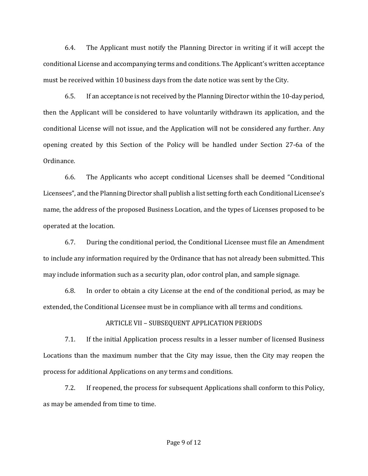6.4. The Applicant must notify the Planning Director in writing if it will accept the conditional License and accompanying terms and conditions. The Applicant's written acceptance must be received within 10 business days from the date notice was sent by the City.

6.5. If an acceptance is not received by the Planning Director within the 10-day period, then the Applicant will be considered to have voluntarily withdrawn its application, and the conditional License will not issue, and the Application will not be considered any further. Any opening created by this Section of the Policy will be handled under Section 27-6a of the Ordinance.

6.6. The Applicants who accept conditional Licenses shall be deemed "Conditional Licensees", and the Planning Director shall publish a list setting forth each Conditional Licensee's name, the address of the proposed Business Location, and the types of Licenses proposed to be operated at the location.

6.7. During the conditional period, the Conditional Licensee must file an Amendment to include any information required by the Ordinance that has not already been submitted. This may include information such as a security plan, odor control plan, and sample signage.

6.8. In order to obtain a city License at the end of the conditional period, as may be extended, the Conditional Licensee must be in compliance with all terms and conditions.

### ARTICLE VII – SUBSEQUENT APPLICATION PERIODS

7.1. If the initial Application process results in a lesser number of licensed Business Locations than the maximum number that the City may issue, then the City may reopen the process for additional Applications on any terms and conditions.

7.2. If reopened, the process for subsequent Applications shall conform to this Policy, as may be amended from time to time.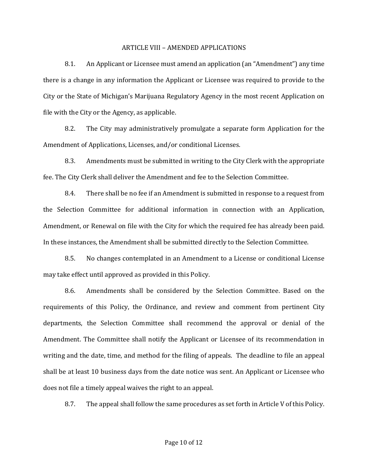#### ARTICLE VIII – AMENDED APPLICATIONS

8.1. An Applicant or Licensee must amend an application (an "Amendment") any time there is a change in any information the Applicant or Licensee was required to provide to the City or the State of Michigan's Marijuana Regulatory Agency in the most recent Application on file with the City or the Agency, as applicable.

8.2. The City may administratively promulgate a separate form Application for the Amendment of Applications, Licenses, and/or conditional Licenses.

8.3. Amendments must be submitted in writing to the City Clerk with the appropriate fee. The City Clerk shall deliver the Amendment and fee to the Selection Committee.

8.4. There shall be no fee if an Amendment is submitted in response to a request from the Selection Committee for additional information in connection with an Application, Amendment, or Renewal on file with the City for which the required fee has already been paid. In these instances, the Amendment shall be submitted directly to the Selection Committee.

8.5. No changes contemplated in an Amendment to a License or conditional License may take effect until approved as provided in this Policy.

8.6. Amendments shall be considered by the Selection Committee. Based on the requirements of this Policy, the Ordinance, and review and comment from pertinent City departments, the Selection Committee shall recommend the approval or denial of the Amendment. The Committee shall notify the Applicant or Licensee of its recommendation in writing and the date, time, and method for the filing of appeals. The deadline to file an appeal shall be at least 10 business days from the date notice was sent. An Applicant or Licensee who does not file a timely appeal waives the right to an appeal.

8.7. The appeal shall follow the same procedures as set forth in Article V of this Policy.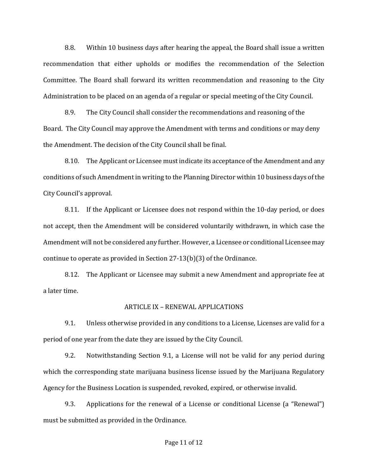8.8. Within 10 business days after hearing the appeal, the Board shall issue a written recommendation that either upholds or modifies the recommendation of the Selection Committee. The Board shall forward its written recommendation and reasoning to the City Administration to be placed on an agenda of a regular or special meeting of the City Council.

8.9. The City Council shall consider the recommendations and reasoning of the Board. The City Council may approve the Amendment with terms and conditions or may deny the Amendment. The decision of the City Council shall be final.

8.10. The Applicant or Licensee must indicate its acceptance of the Amendment and any conditions of such Amendment in writing to the Planning Director within 10 business days of the City Council's approval.

8.11. If the Applicant or Licensee does not respond within the 10-day period, or does not accept, then the Amendment will be considered voluntarily withdrawn, in which case the Amendment will not be considered any further. However, a Licensee or conditional Licensee may continue to operate as provided in Section 27-13(b)(3) of the Ordinance.

8.12. The Applicant or Licensee may submit a new Amendment and appropriate fee at a later time.

### ARTICLE IX – RENEWAL APPLICATIONS

9.1. Unless otherwise provided in any conditions to a License, Licenses are valid for a period of one year from the date they are issued by the City Council.

9.2. Notwithstanding Section 9.1, a License will not be valid for any period during which the corresponding state marijuana business license issued by the Marijuana Regulatory Agency for the Business Location is suspended, revoked, expired, or otherwise invalid.

9.3. Applications for the renewal of a License or conditional License (a "Renewal") must be submitted as provided in the Ordinance.